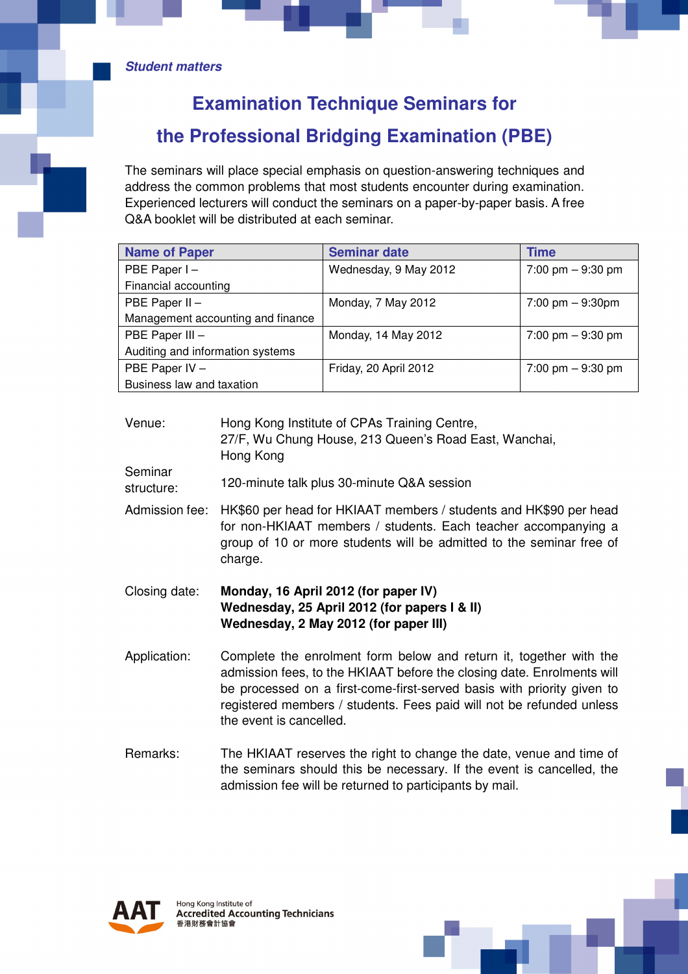## **Examination Technique Seminars for the Professional Bridging Examination (PBE)**

The seminars will place special emphasis on question-answering techniques and address the common problems that most students encounter during examination. Experienced lecturers will conduct the seminars on a paper-by-paper basis. A free Q&A booklet will be distributed at each seminar.

| <b>Name of Paper</b>              | <b>Seminar date</b>   | <b>Time</b>                        |
|-----------------------------------|-----------------------|------------------------------------|
| PBE Paper I-                      | Wednesday, 9 May 2012 | 7:00 pm $-9:30$ pm                 |
| Financial accounting              |                       |                                    |
| PBE Paper II -                    | Monday, 7 May 2012    | $7:00 \text{ pm} - 9:30 \text{pm}$ |
| Management accounting and finance |                       |                                    |
| PBE Paper III -                   | Monday, 14 May 2012   | 7:00 pm $-9:30$ pm                 |
| Auditing and information systems  |                       |                                    |
| PBE Paper IV -                    | Friday, 20 April 2012 | 7:00 pm $-9:30$ pm                 |
| Business law and taxation         |                       |                                    |

Venue: Hong Kong Institute of CPAs Training Centre, 27/F, Wu Chung House, 213 Queen's Road East, Wanchai, Hong Kong

- Seminar structure: 120-minute talk plus 30-minute Q&A session
- Admission fee: HK\$60 per head for HKIAAT members / students and HK\$90 per head for non-HKIAAT members / students. Each teacher accompanying a group of 10 or more students will be admitted to the seminar free of charge.

## Closing date: **Monday, 16 April 2012 (for paper IV) Wednesday, 25 April 2012 (for papers I & II) Wednesday, 2 May 2012 (for paper III)**

- Application: Complete the enrolment form below and return it, together with the admission fees, to the HKIAAT before the closing date. Enrolments will be processed on a first-come-first-served basis with priority given to registered members / students. Fees paid will not be refunded unless the event is cancelled.
- Remarks: The HKIAAT reserves the right to change the date, venue and time of the seminars should this be necessary. If the event is cancelled, the admission fee will be returned to participants by mail.